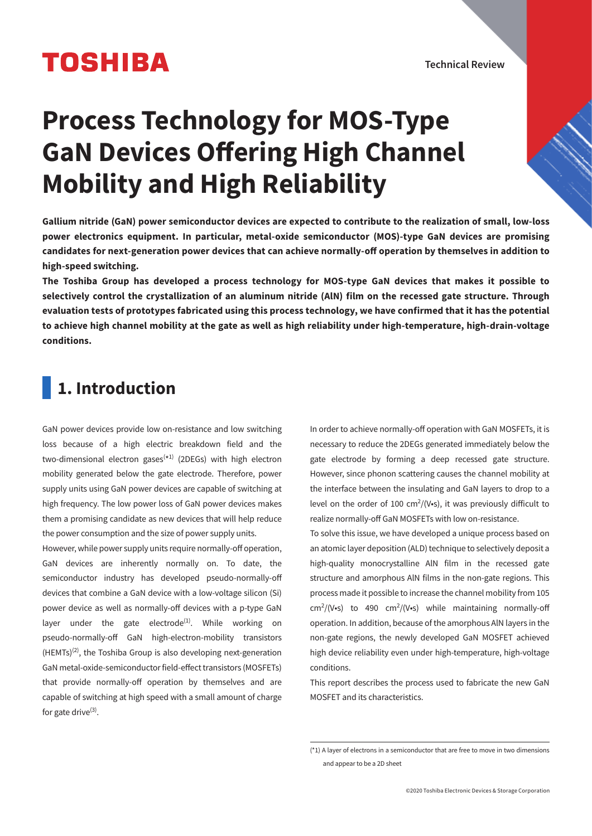# **TOSHIBA**

Technical Review

# **Process Technology for MOS-Type GaN Devices Offering High Channel Mobility and High Reliability**

**Gallium nitride (GaN) power semiconductor devices are expected to contribute to the realization of small, low-loss power electronics equipment. In particular, metal-oxide semiconductor (MOS)-type GaN devices are promising**  candidates for next-generation power devices that can achieve normally-off operation by themselves in addition to **high-speed switching.**

**The Toshiba Group has developed a process technology for MOS-type GaN devices that makes it possible to selectively control the crystallization of an aluminum nitride (AlN) film on the recessed gate structure. Through evaluation tests of prototypes fabricated using this process technology, we have confirmed that it has the potential to achieve high channel mobility at the gate as well as high reliability under high-temperature, high-drain-voltage conditions.**

# **1. Introduction**

GaN power devices provide low on-resistance and low switching loss because of a high electric breakdown field and the two-dimensional electron gases<sup>(\*1)</sup> (2DEGs) with high electron mobility generated below the gate electrode. Therefore, power supply units using GaN power devices are capable of switching at high frequency. The low power loss of GaN power devices makes them a promising candidate as new devices that will help reduce the power consumption and the size of power supply units.

However, while power supply units require normally-off operation, GaN devices are inherently normally on. To date, the semiconductor industry has developed pseudo-normally-off devices that combine a GaN device with a low-voltage silicon (Si) power device as well as normally-off devices with a p-type GaN layer under the gate electrode $(1)$ . While working on pseudo-normally-off GaN high-electron-mobility transistors  $(HEMTs)^{(2)}$ , the Toshiba Group is also developing next-generation GaN metal-oxide-semiconductor field-effect transistors (MOSFETs) that provide normally-off operation by themselves and are capable of switching at high speed with a small amount of charge for gate drive $(3)$ .

In order to achieve normally-off operation with GaN MOSFETs, it is necessary to reduce the 2DEGs generated immediately below the gate electrode by forming a deep recessed gate structure. However, since phonon scattering causes the channel mobility at the interface between the insulating and GaN layers to drop to a level on the order of 100  $\text{cm}^2\text{/V}\cdot\text{s}$ ), it was previously difficult to realize normally-off GaN MOSFETs with low on-resistance.

To solve this issue, we have developed a unique process based on an atomic layer deposition (ALD) technique to selectively deposit a high-quality monocrystalline AlN film in the recessed gate structure and amorphous AlN films in the non-gate regions. This process made it possible to increase the channel mobility from 105 cm<sup>2</sup>/(V•s) to 490 cm<sup>2</sup>/(V•s) while maintaining normally-off operation. In addition, because of the amorphous AlN layers in the non-gate regions, the newly developed GaN MOSFET achieved high device reliability even under high-temperature, high-voltage conditions.

This report describes the process used to fabricate the new GaN MOSFET and its characteristics.

<sup>(\*1)</sup> A layer of electrons in a semiconductor that are free to move in two dimensions and appear to be a 2D sheet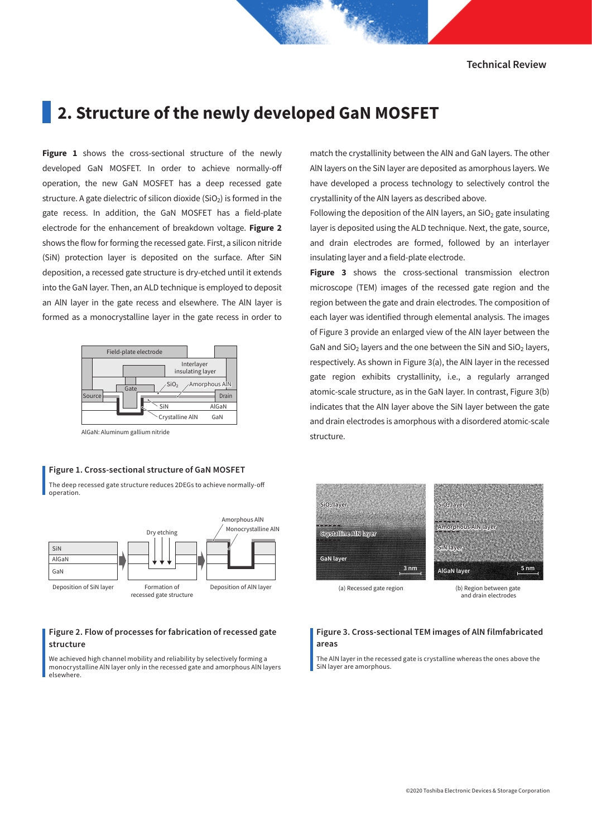Technical Review

### **2. Structure of the newly developed GaN MOSFET**

**Figure 1** shows the cross-sectional structure of the newly developed GaN MOSFET. In order to achieve normally-o operation, the new GaN MOSFET has a deep recessed gate structure. A gate dielectric of silicon dioxide  $(SIO_2)$  is formed in the gate recess. In addition, the GaN MOSFET has a field-plate electrode for the enhancement of breakdown voltage. **Figure 2** shows the flow for forming the recessed gate. First, a silicon nitride (SiN) protection layer is deposited on the surface. After SiN deposition, a recessed gate structure is dry-etched until it extends into the GaN layer. Then, an ALD technique is employed to deposit an AlN layer in the gate recess and elsewhere. The AlN layer is formed as a monocrystalline layer in the gate recess in order to



AlGaN: Aluminum gallium nitride

#### Figure 1. Cross-sectional structure of GaN MOSFET

The deep recessed gate structure reduces 2DEGs to achieve normally-o operation.



#### Figure 2. Flow of processes for fabrication of recessed gate structure

We achieved high channel mobility and reliability by selectively forming a monocrystalline AlN layer only in the recessed gate and amorphous AlN layers elsewhere.

match the crystallinity between the AlN and GaN layers. The other AlN layers on the SiN layer are deposited as amorphous layers. We have developed a process technology to selectively control the crystallinity of the AlN layers as described above.

Following the deposition of the AIN layers, an  $SiO<sub>2</sub>$  gate insulating layer is deposited using the ALD technique. Next, the gate, source, and drain electrodes are formed, followed by an interlayer insulating layer and a field-plate electrode.

**Figure 3** shows the cross-sectional transmission electron microscope (TEM) images of the recessed gate region and the region between the gate and drain electrodes. The composition of each layer was identified through elemental analysis. The images of Figure 3 provide an enlarged view of the AlN layer between the GaN and SiO<sub>2</sub> layers and the one between the SiN and SiO<sub>2</sub> layers, respectively. As shown in Figure 3(a), the AlN layer in the recessed gate region exhibits crystallinity, i.e., a regularly arranged atomic-scale structure, as in the GaN layer. In contrast, Figure 3(b) indicates that the AlN layer above the SiN layer between the gate and drain electrodes is amorphous with a disordered atomic-scale structure.



(a) Recessed gate region (b) Region between gate and drain electrodes

#### Figure 3. Cross-sectional TEM images of AlN filmfabricated areas

The AlN layer in the recessed gate is crystalline whereas the ones above the SiN layer are amorphous.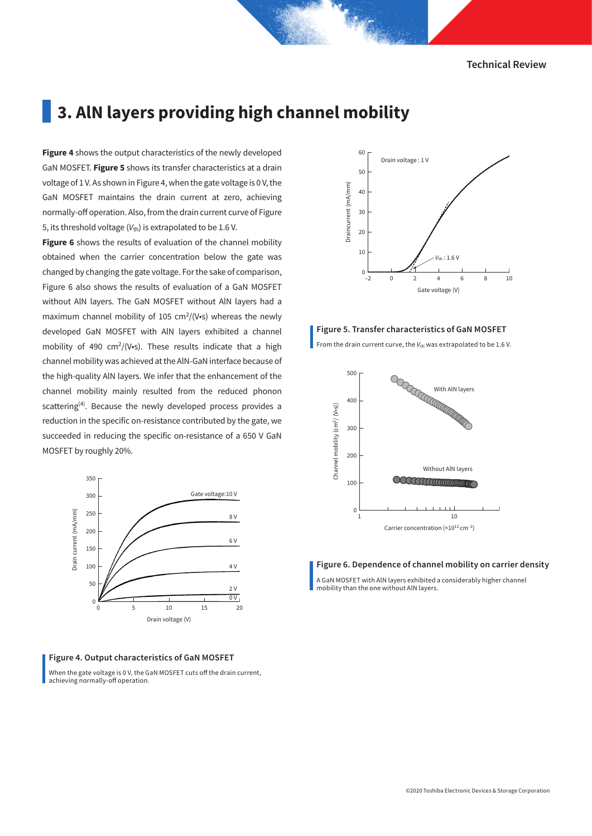Technical Review

## **3. AlN layers providing high channel mobility**

**Figure 4** shows the output characteristics of the newly developed GaN MOSFET. **Figure 5** shows its transfer characteristics at a drain voltage of 1 V. As shown in Figure 4, when the gate voltage is 0 V, the GaN MOSFET maintains the drain current at zero, achieving normally-off operation. Also, from the drain current curve of Figure 5, its threshold voltage  $(V_{\text{th}})$  is extrapolated to be 1.6 V.

**Figure 6** shows the results of evaluation of the channel mobility obtained when the carrier concentration below the gate was changed by changing the gate voltage. For the sake of comparison, Figure 6 also shows the results of evaluation of a GaN MOSFET without AlN layers. The GaN MOSFET without AlN layers had a maximum channel mobility of 105  $\text{cm}^2\text{/}$  (V•s) whereas the newly developed GaN MOSFET with AlN layers exhibited a channel mobility of 490  $\text{cm}^2\text{/V}\cdot\text{s}$ ). These results indicate that a high channel mobility was achieved at the AlN-GaN interface because of the high-quality AlN layers. We infer that the enhancement of the channel mobility mainly resulted from the reduced phonon scattering<sup>(4)</sup>. Because the newly developed process provides a reduction in the specific on-resistance contributed by the gate, we succeeded in reducing the specific on-resistance of a 650 V GaN MOSFET by roughly 20%.



#### Figure 4. Output characteristics of GaN MOSFET

When the gate voltage is 0 V, the GaN MOSFET cuts off the drain current, achieving normally-off operation.



#### Figure 5. Transfer characteristics of GaN MOSFET

From the drain current curve, the  $V_{th}$  was extrapolated to be 1.6 V.



#### Figure 6. Dependence of channel mobility on carrier density

A GaN MOSFET with AlN layers exhibited a considerably higher channel mobility than the one without AlN layers.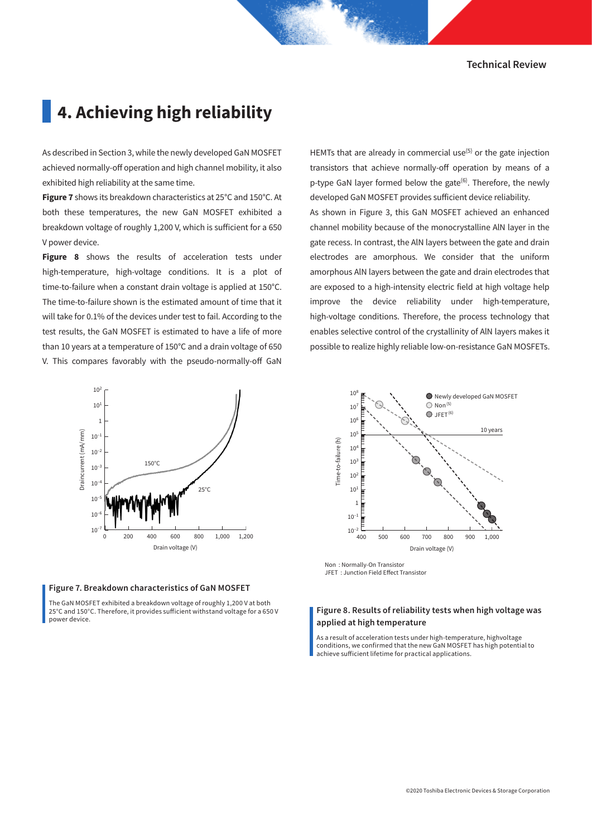## **4. Achieving high reliability**

As described in Section 3, while the newly developed GaN MOSFET achieved normally-off operation and high channel mobility, it also exhibited high reliability at the same time.

**Figure 7** shows its breakdown characteristics at 25°C and 150°C. At both these temperatures, the new GaN MOSFET exhibited a breakdown voltage of roughly 1,200 V, which is sufficient for a 650 V power device.

**Figure 8** shows the results of acceleration tests under high-temperature, high-voltage conditions. It is a plot of time-to-failure when a constant drain voltage is applied at 150°C. The time-to-failure shown is the estimated amount of time that it will take for 0.1% of the devices under test to fail. According to the test results, the GaN MOSFET is estimated to have a life of more than 10 years at a temperature of 150°C and a drain voltage of 650 V. This compares favorably with the pseudo-normally-off GaN

transistors that achieve normally-off operation by means of a p-type GaN layer formed below the gate<sup>(6)</sup>. Therefore, the newly developed GaN MOSFET provides sufficient device reliability. As shown in Figure 3, this GaN MOSFET achieved an enhanced channel mobility because of the monocrystalline AlN layer in the gate recess. In contrast, the AlN layers between the gate and drain electrodes are amorphous. We consider that the uniform amorphous AlN layers between the gate and drain electrodes that are exposed to a high-intensity electric field at high voltage help improve the device reliability under high-temperature, high-voltage conditions. Therefore, the process technology that enables selective control of the crystallinity of AlN layers makes it possible to realize highly reliable low-on-resistance GaN MOSFETs.

HEMTs that are already in commercial use<sup> $(5)$ </sup> or the gate injection





The GaN MOSFET exhibited a breakdown voltage of roughly 1,200 V at both 25°C and 150°C. Therefore, it provides sufficient withstand voltage for a 650 V power device.



Non : Normally-On Transistor JFET : Junction Field Effect Transistor

#### Figure 8. Results of reliability tests when high voltage was applied at high temperature

As a result of acceleration tests under high-temperature, highvoltage conditions, we confirmed that the new GaN MOSFET has high potential to achieve sufficient lifetime for practical applications.